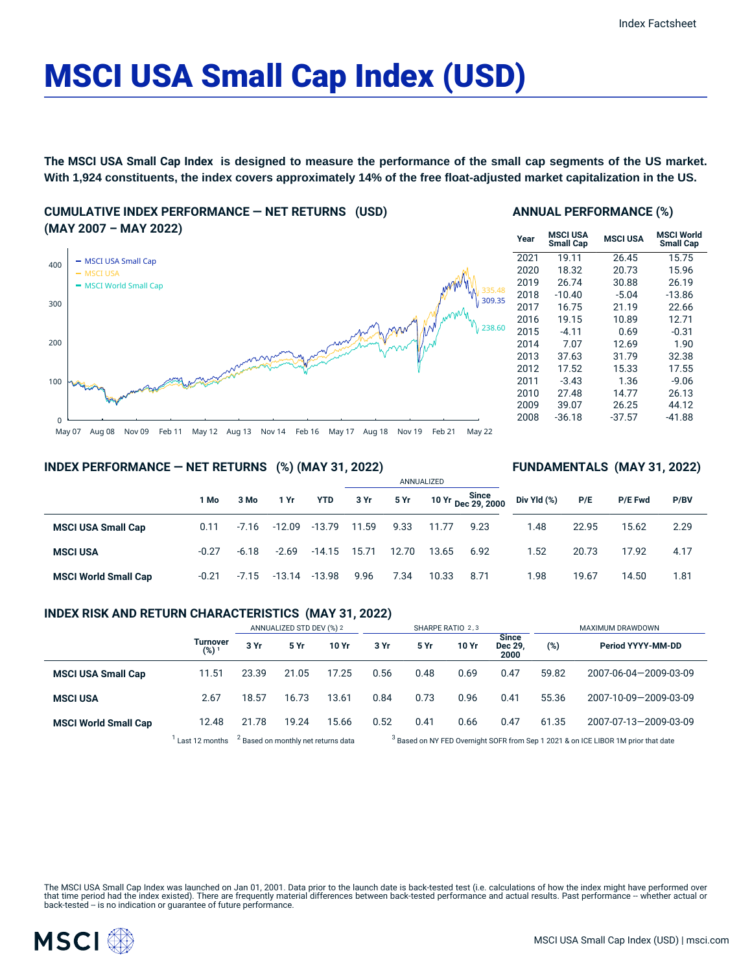# MSCI USA Small Cap Index (USD)

**The MSCI USA Small Cap Index is designed to measure the performance of the small cap segments of the US market. With 1,924 constituents, the index covers approximately 14% of the free float-adjusted market capitalization in the US.**

**CUMULATIVE INDEX PERFORMANCE — NET RETURNS (USD) (MAY 2007 – MAY 2022)**



### **ANNUAL PERFORMANCE (%)**

| Year | MSCI USA<br><b>Small Cap</b> | <b>MSCI USA</b> | <b>MSCI World</b><br><b>Small Cap</b> |
|------|------------------------------|-----------------|---------------------------------------|
| 2021 | 19.11                        | 26.45           | 15.75                                 |
| 2020 | 18.32                        | 20.73           | 15.96                                 |
| 2019 | 26.74                        | 30.88           | 26.19                                 |
| 2018 | $-10.40$                     | $-5.04$         | $-13.86$                              |
| 2017 | 16.75                        | 21.19           | 22.66                                 |
| 2016 | 19.15                        | 10.89           | 12.71                                 |
| 2015 | $-4.11$                      | 0.69            | $-0.31$                               |
| 2014 | 7.07                         | 12.69           | 1.90                                  |
| 2013 | 37.63                        | 31.79           | 32.38                                 |
| 2012 | 17.52                        | 15.33           | 17.55                                 |
| 2011 | $-3.43$                      | 1.36            | $-9.06$                               |
| 2010 | 27.48                        | 14.77           | 26.13                                 |
| 2009 | 39.07                        | 26.25           | 44.12                                 |
| 2008 | $-36.18$                     | $-37.57$        | $-41.88$                              |

**FUNDAMENTALS (MAY 31, 2022)**

### **INDEX PERFORMANCE — NET RETURNS (%) (MAY 31, 2022)**

|                             |         |         |          |                | ANNUALIZED |       |       |                             |             |       |         |      |  |
|-----------------------------|---------|---------|----------|----------------|------------|-------|-------|-----------------------------|-------------|-------|---------|------|--|
|                             | 1 Mo    | 3 Mo    | 1 Yr     | <b>YTD</b>     | 3 Yr       | 5 Yr  |       | 10 Yr Since<br>Dec 29, 2000 | Div Yld (%) | P/E   | P/E Fwd | P/BV |  |
| <b>MSCI USA Small Cap</b>   | 0.11    | $-7.16$ | $-12.09$ | $-13.79$       | 11.59      | 9.33  | 11.77 | 9.23                        | 1.48        | 22.95 | 15.62   | 2.29 |  |
| <b>MSCI USA</b>             | $-0.27$ | $-6.18$ | $-2.69$  | $-14.15$ 15.71 |            | 12.70 | 13.65 | 6.92                        | 1.52        | 20.73 | 17.92   | 4.17 |  |
| <b>MSCI World Small Cap</b> | $-0.21$ | $-7.15$ | -13.14   | $-13.98$       | 9.96       | 7.34  | 10.33 | 8.71                        | 1.98        | 19.67 | 14.50   | 1.81 |  |

# **INDEX RISK AND RETURN CHARACTERISTICS (MAY 31, 2022)**

|                             |                              | ANNUALIZED STD DEV (%) 2                       |       |       |      |      | SHARPE RATIO 2,3 |                          | MAXIMUM DRAWDOWN                                                                              |                       |  |
|-----------------------------|------------------------------|------------------------------------------------|-------|-------|------|------|------------------|--------------------------|-----------------------------------------------------------------------------------------------|-----------------------|--|
|                             | <b>Turnover</b><br>$(%)^{1}$ | 3 Yr                                           | 5 Yr  | 10 Yr | 3 Yr | 5 Yr | 10 Yr            | Since<br>Dec 29,<br>2000 | (%)                                                                                           | Period YYYY-MM-DD     |  |
| <b>MSCI USA Small Cap</b>   | 11.51                        | 23.39                                          | 21.05 | 17.25 | 0.56 | 0.48 | 0.69             | 0.47                     | 59.82                                                                                         | 2007-06-04-2009-03-09 |  |
| <b>MSCI USA</b>             | 2.67                         | 18.57                                          | 16.73 | 13.61 | 0.84 | 0.73 | 0.96             | 0.41                     | 55.36                                                                                         | 2007-10-09-2009-03-09 |  |
| <b>MSCI World Small Cap</b> | 12.48                        | 21.78                                          | 19.24 | 15.66 | 0.52 | 0.41 | 0.66             | 0.47                     | 61.35                                                                                         | 2007-07-13-2009-03-09 |  |
|                             | Last 12 months               | <sup>2</sup> Based on monthly net returns data |       |       |      |      |                  |                          | <sup>3</sup> Based on NY FED Overnight SOFR from Sep 1 2021 & on ICE LIBOR 1M prior that date |                       |  |

The MSCI USA Small Cap Index was launched on Jan 01, 2001. Data prior to the launch date is back-tested test (i.e. calculations of how the index might have performed over that time period had the index existed). There are frequently material differences between back-tested performance and actual results. Past performance -- whether actual or<br>back-tested -- is no indication or guarantee of f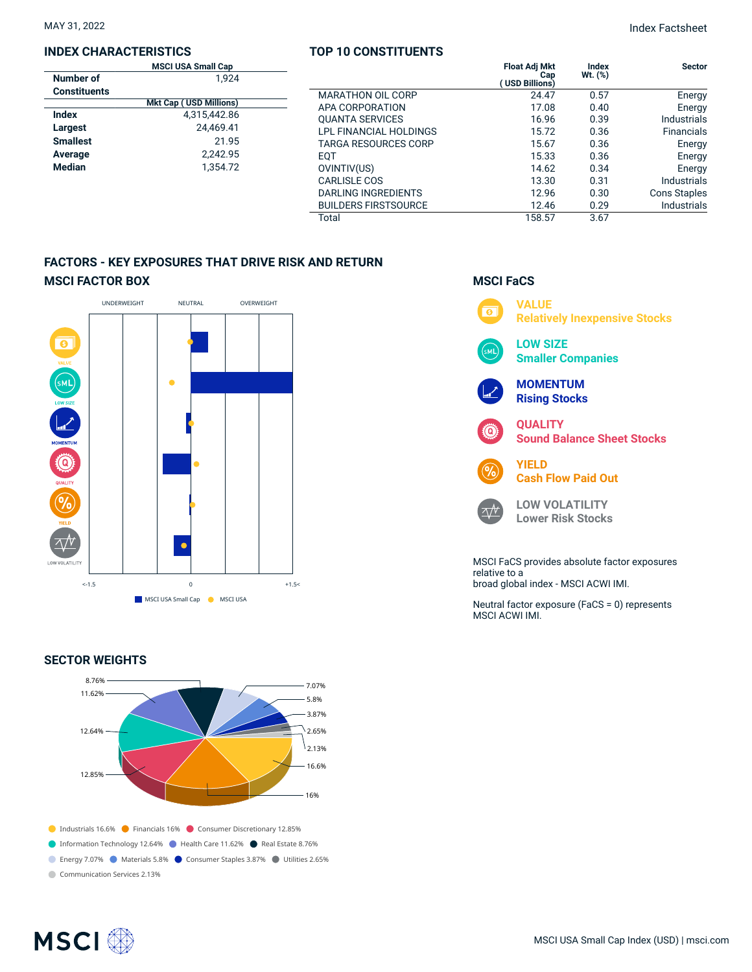## **INDEX CHARACTERISTICS**

| TOP 10 CONSTITUENTS |  |  |  |  |  |  |  |  |  |  |  |  |  |  |  |  |
|---------------------|--|--|--|--|--|--|--|--|--|--|--|--|--|--|--|--|
|---------------------|--|--|--|--|--|--|--|--|--|--|--|--|--|--|--|--|

|                     | <b>MSCI USA Small Cap</b>     |                             | <b>Float Adj Mkt</b>  | Index        | <b>Sector</b>       |
|---------------------|-------------------------------|-----------------------------|-----------------------|--------------|---------------------|
| Number of           | 1.924                         |                             | Cap<br>(USD Billions) | $Wt.$ $(\%)$ |                     |
| <b>Constituents</b> |                               | <b>MARATHON OIL CORP</b>    | 24.47                 | 0.57         | Energy              |
|                     | <b>Mkt Cap (USD Millions)</b> | APA CORPORATION             | 17.08                 | 0.40         | Energy              |
| <b>Index</b>        | 4,315,442.86                  | <b>QUANTA SERVICES</b>      | 16.96                 | 0.39         | <b>Industrials</b>  |
| Largest             | 24.469.41                     | LPL FINANCIAL HOLDINGS      | 15.72                 | 0.36         | <b>Financials</b>   |
| <b>Smallest</b>     | 21.95                         | <b>TARGA RESOURCES CORP</b> | 15.67                 | 0.36         | Energy              |
| Average             | 2.242.95                      | <b>EQT</b>                  | 15.33                 | 0.36         | Energy              |
| Median              | 1.354.72                      | OVINTIV(US)                 | 14.62                 | 0.34         | Energy              |
|                     |                               | CARLISLE COS                | 13.30                 | 0.31         | Industrials         |
|                     |                               | DARLING INGREDIENTS         | 12.96                 | 0.30         | <b>Cons Staples</b> |
|                     |                               | <b>BUILDERS FIRSTSOURCE</b> | 12.46                 | 0.29         | <b>Industrials</b>  |
|                     |                               | Total                       | 158.57                | 3.67         |                     |

# **FACTORS - KEY EXPOSURES THAT DRIVE RISK AND RETURN MSCI FACTOR BOX**



# **SECTOR WEIGHTS**



# **MSCI FaCS VALUE**  $\overline{\bullet}$ **Relatively Inexpensive Stocks LOW SIZE Smaller Companies MOMENTUM Rising Stocks QUALITY Sound Balance Sheet Stocks YIELD Cash Flow Paid Out LOW VOLATILITY**  $\Delta N$ **Lower Risk Stocks** MSCI FaCS provides absolute factor exposures relative to a broad global index - MSCI ACWI IMI.

Neutral factor exposure (FaCS = 0) represents MSCI ACWI IMI.

| ¶SCI ∰ |  |
|--------|--|
|--------|--|